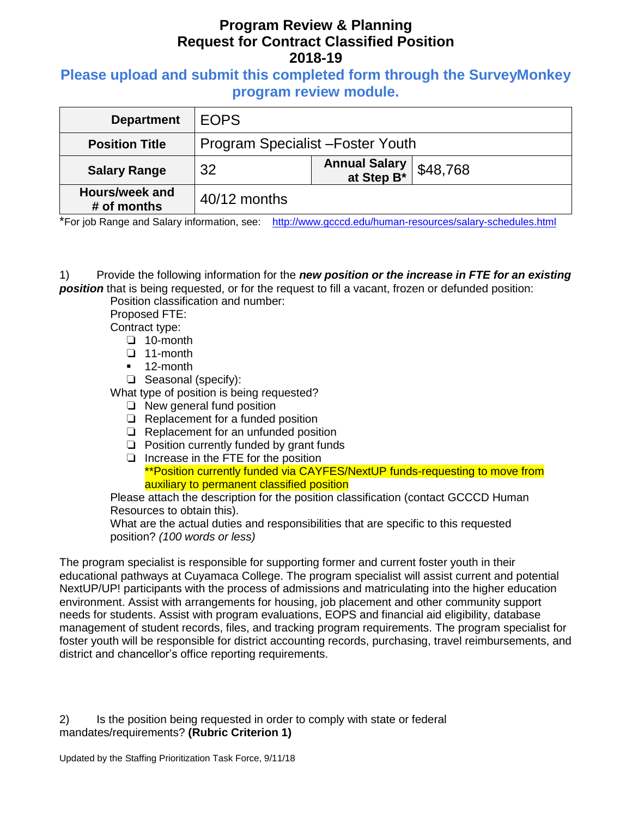#### **Please upload and submit this completed form through the SurveyMonkey program review module.**

| <b>Department</b>             | <b>EOPS</b>                       |                                     |          |
|-------------------------------|-----------------------------------|-------------------------------------|----------|
| <b>Position Title</b>         | Program Specialist - Foster Youth |                                     |          |
| <b>Salary Range</b>           | 32                                | <b>Annual Salary<br/>at Step B*</b> | \$48,768 |
| Hours/week and<br># of months | 40/12 months                      |                                     |          |

\*For job Range and Salary information, see: <http://www.gcccd.edu/human-resources/salary-schedules.html>

1) Provide the following information for the *new position or the increase in FTE for an existing position* that is being requested, or for the request to fill a vacant, frozen or defunded position:

Position classification and number:

Proposed FTE:

Contract type:

- ❏ 10-month
- ❏ 11-month
- **12-month**
- ❏ Seasonal (specify):

What type of position is being requested?

- ❏ New general fund position
- ❏ Replacement for a funded position
- ❏ Replacement for an unfunded position
- ❏ Position currently funded by grant funds

❏ Increase in the FTE for the position \*\*Position currently funded via CAYFES/NextUP funds-requesting to move from auxiliary to permanent classified position

Please attach the description for the position classification (contact GCCCD Human Resources to obtain this).

What are the actual duties and responsibilities that are specific to this requested position? *(100 words or less)*

The program specialist is responsible for supporting former and current foster youth in their educational pathways at Cuyamaca College. The program specialist will assist current and potential NextUP/UP! participants with the process of admissions and matriculating into the higher education environment. Assist with arrangements for housing, job placement and other community support needs for students. Assist with program evaluations, EOPS and financial aid eligibility, database management of student records, files, and tracking program requirements. The program specialist for foster youth will be responsible for district accounting records, purchasing, travel reimbursements, and district and chancellor's office reporting requirements.

2) Is the position being requested in order to comply with state or federal mandates/requirements? **(Rubric Criterion 1)**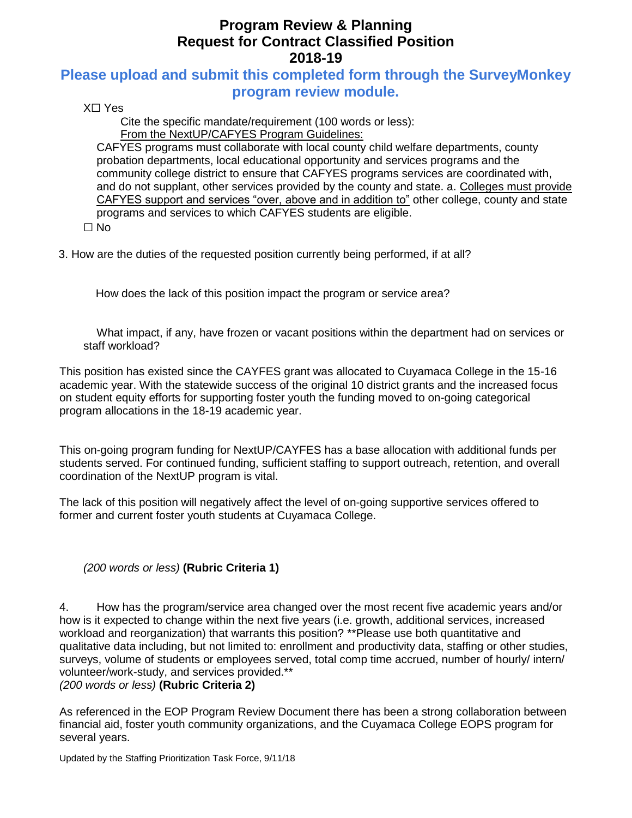### **Please upload and submit this completed form through the SurveyMonkey program review module.**

X☐ Yes

Cite the specific mandate/requirement (100 words or less): From the NextUP/CAFYES Program Guidelines:

CAFYES programs must collaborate with local county child welfare departments, county probation departments, local educational opportunity and services programs and the community college district to ensure that CAFYES programs services are coordinated with, and do not supplant, other services provided by the county and state. a. Colleges must provide CAFYES support and services "over, above and in addition to" other college, county and state programs and services to which CAFYES students are eligible. ☐ No

3. How are the duties of the requested position currently being performed, if at all?

How does the lack of this position impact the program or service area?

What impact, if any, have frozen or vacant positions within the department had on services or staff workload?

This position has existed since the CAYFES grant was allocated to Cuyamaca College in the 15-16 academic year. With the statewide success of the original 10 district grants and the increased focus on student equity efforts for supporting foster youth the funding moved to on-going categorical program allocations in the 18-19 academic year.

This on-going program funding for NextUP/CAYFES has a base allocation with additional funds per students served. For continued funding, sufficient staffing to support outreach, retention, and overall coordination of the NextUP program is vital.

The lack of this position will negatively affect the level of on-going supportive services offered to former and current foster youth students at Cuyamaca College.

#### *(200 words or less)* **(Rubric Criteria 1)**

4. How has the program/service area changed over the most recent five academic years and/or how is it expected to change within the next five years (i.e. growth, additional services, increased workload and reorganization) that warrants this position? \*\*Please use both quantitative and qualitative data including, but not limited to: enrollment and productivity data, staffing or other studies, surveys, volume of students or employees served, total comp time accrued, number of hourly/ intern/ volunteer/work-study, and services provided.\*\*

*(200 words or less)* **(Rubric Criteria 2)**

As referenced in the EOP Program Review Document there has been a strong collaboration between financial aid, foster youth community organizations, and the Cuyamaca College EOPS program for several years.

Updated by the Staffing Prioritization Task Force, 9/11/18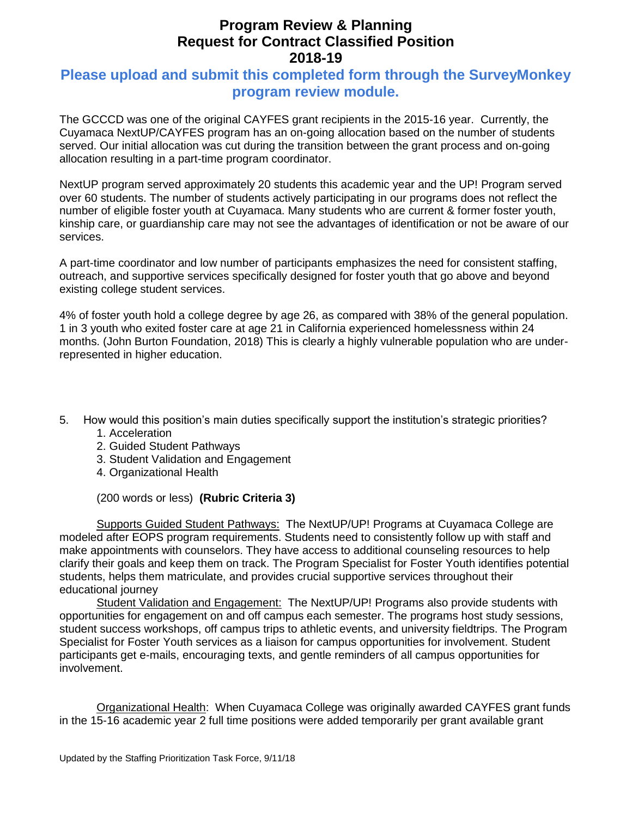### **Please upload and submit this completed form through the SurveyMonkey program review module.**

The GCCCD was one of the original CAYFES grant recipients in the 2015-16 year. Currently, the Cuyamaca NextUP/CAYFES program has an on-going allocation based on the number of students served. Our initial allocation was cut during the transition between the grant process and on-going allocation resulting in a part-time program coordinator.

NextUP program served approximately 20 students this academic year and the UP! Program served over 60 students. The number of students actively participating in our programs does not reflect the number of eligible foster youth at Cuyamaca. Many students who are current & former foster youth, kinship care, or guardianship care may not see the advantages of identification or not be aware of our services.

A part-time coordinator and low number of participants emphasizes the need for consistent staffing, outreach, and supportive services specifically designed for foster youth that go above and beyond existing college student services.

4% of foster youth hold a college degree by age 26, as compared with 38% of the general population. 1 in 3 youth who exited foster care at age 21 in California experienced homelessness within 24 months. (John Burton Foundation, 2018) This is clearly a highly vulnerable population who are underrepresented in higher education.

- 5. How would this position's main duties specifically support the institution's strategic priorities?
	- 1. Acceleration
	- 2. Guided Student Pathways
	- 3. Student Validation and Engagement
	- 4. Organizational Health

(200 words or less) **(Rubric Criteria 3)**

Supports Guided Student Pathways: The NextUP/UP! Programs at Cuyamaca College are modeled after EOPS program requirements. Students need to consistently follow up with staff and make appointments with counselors. They have access to additional counseling resources to help clarify their goals and keep them on track. The Program Specialist for Foster Youth identifies potential students, helps them matriculate, and provides crucial supportive services throughout their educational journey

Student Validation and Engagement: The NextUP/UP! Programs also provide students with opportunities for engagement on and off campus each semester. The programs host study sessions, student success workshops, off campus trips to athletic events, and university fieldtrips. The Program Specialist for Foster Youth services as a liaison for campus opportunities for involvement. Student participants get e-mails, encouraging texts, and gentle reminders of all campus opportunities for involvement.

Organizational Health: When Cuyamaca College was originally awarded CAYFES grant funds in the 15-16 academic year 2 full time positions were added temporarily per grant available grant